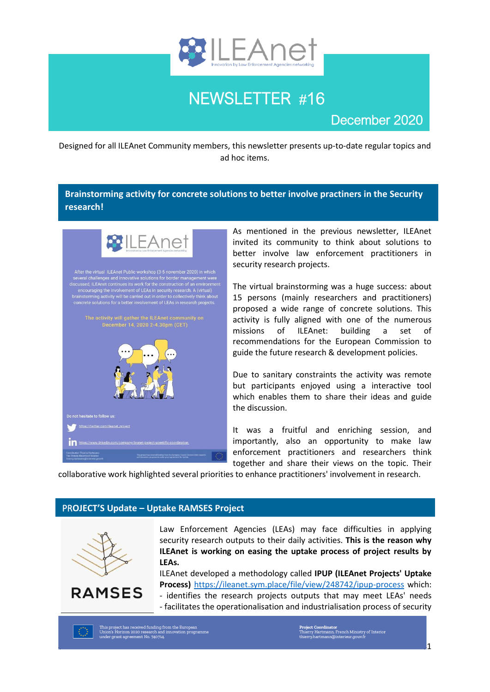

# NEWSLETTER #16

# December 2020

Designed for all ILEAnet Community members, this newsletter presents up-to-date regular topics and ad hoc items.

## **Brainstorming activity for concrete solutions to better involve practiners in the Security research!**



As mentioned in the previous newsletter, ILEAnet invited its community to think about solutions to better involve law enforcement practitioners in security research projects.

The virtual brainstorming was a huge success: about 15 persons (mainly researchers and practitioners) proposed a wide range of concrete solutions. This activity is fully aligned with one of the numerous missions of ILEAnet: building a set of recommendations for the European Commission to guide the future research & development policies.

Due to sanitary constraints the activity was remote but participants enjoyed using a interactive tool which enables them to share their ideas and guide the discussion.

It was a fruitful and enriching session, and importantly, also an opportunity to make law enforcement practitioners and researchers think together and share their views on the topic. Their

collaborative work highlighted several priorities to enhance practitioners' involvement in research.

## PR**OJECT'S Update – Uptake RAMSES Project**



Law Enforcement Agencies (LEAs) may face difficulties in applying security research outputs to their daily activities. **This is the reason why ILEAnet is working on easing the uptake process of project results by LEAs.** 

ILEAnet developed a methodology called **IPUP (ILEAnet Projects' Uptake Process)** <https://ileanet.sym.place/file/view/248742/ipup-process> which:

- identifies the research projects outputs that may meet LEAs' needs - facilitates the operationalisation and industrialisation process of security

This project has received funding from the European<br>Union's Horizon 2020 research and innovation programme<br>under grant agreement No. 740714.

**Project Coordinator**<br>Thierry Hartmann, French Ministry of Interior<br>hierry.hartmann@interieur.gouv.fr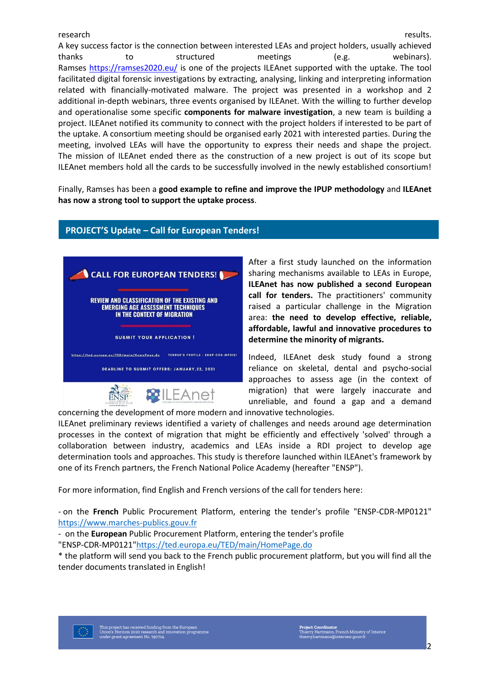#### research **research research** *research results.*

A key success factor is the connection between interested LEAs and project holders, usually achieved thanks to structured meetings (e.g. webinars). Ramses<https://ramses2020.eu/> is one of the projects ILEAnet supported with the uptake. The tool facilitated digital forensic investigations by extracting, analysing, linking and interpreting information related with financially-motivated malware. The project was presented in a workshop and 2 additional in-depth webinars, three events organised by ILEAnet. With the willing to further develop and operationalise some specific **components for malware investigation**, a new team is building a project. ILEAnet notified its community to connect with the project holders if interested to be part of the uptake. A consortium meeting should be organised early 2021 with interested parties. During the meeting, involved LEAs will have the opportunity to express their needs and shape the project. The mission of ILEAnet ended there as the construction of a new project is out of its scope but ILEAnet members hold all the cards to be successfully involved in the newly established consortium!

Finally, Ramses has been a **good example to refine and improve the IPUP methodology** and **ILEAnet has now a strong tool to support the uptake process**.

**PROJECT'S Update – Call for European Tenders!** 



After a first study launched on the information sharing mechanisms available to LEAs in Europe, **ILEAnet has now published a second European call for tenders.** The practitioners' community raised a particular challenge in the Migration area: **the need to develop effective, reliable, affordable, lawful and innovative procedures to determine the minority of migrants.** 

Indeed, ILEAnet desk study found a strong reliance on skeletal, dental and psycho-social approaches to assess age (in the context of migration) that were largely inaccurate and unreliable, and found a gap and a demand

concerning the development of more modern and innovative technologies.

ILEAnet preliminary reviews identified a variety of challenges and needs around age determination processes in the context of migration that might be efficiently and effectively 'solved' through a collaboration between industry, academics and LEAs inside a RDI project to develop age determination tools and approaches. This study is therefore launched within ILEAnet's framework by one of its French partners, the French National Police Academy (hereafter "ENSP").

For more information, find English and French versions of the call for tenders here:

- on the **French** Public Procurement Platform, entering the tender's profile "ENSP-CDR-MP0121" [https://www.marches-publics.gouv.fr](https://www.marches-publics.gouv.fr/) 

- on the **European** Public Procurement Platform, entering the tender's profile

"ENSP-CDR-MP0121["https://ted.europa.eu/TED/main/HomePage.do](https://ted.europa.eu/TED/main/HomePage.do)

\* the platform will send you back to the French public procurement platform, but you will find all the tender documents translated in English!

**Project Coordinator**<br>Thierry Hartmann, French Ministry of Interi<br>hierry.hartmann@interieur.gouv.fr